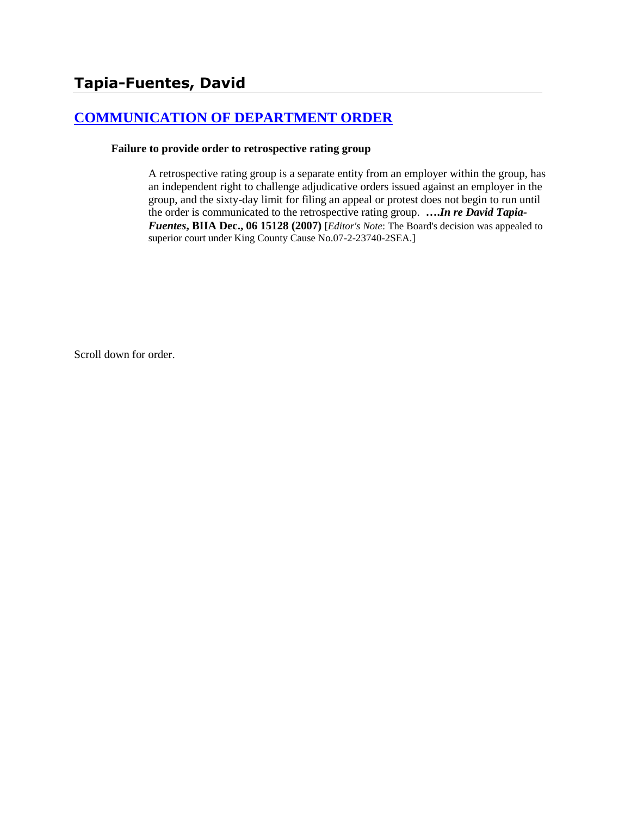# **[COMMUNICATION OF DEPARTMENT ORDER](http://www.biia.wa.gov/SDSubjectIndex.html#COMMUNICATION_OF_DEPARTMENT_ORDER)**

#### **Failure to provide order to retrospective rating group**

A retrospective rating group is a separate entity from an employer within the group, has an independent right to challenge adjudicative orders issued against an employer in the group, and the sixty-day limit for filing an appeal or protest does not begin to run until the order is communicated to the retrospective rating group. **….***In re David Tapia-Fuentes***, BIIA Dec., 06 15128 (2007)** [*Editor's Note*: The Board's decision was appealed to superior court under King County Cause No.07-2-23740-2SEA.]

Scroll down for order.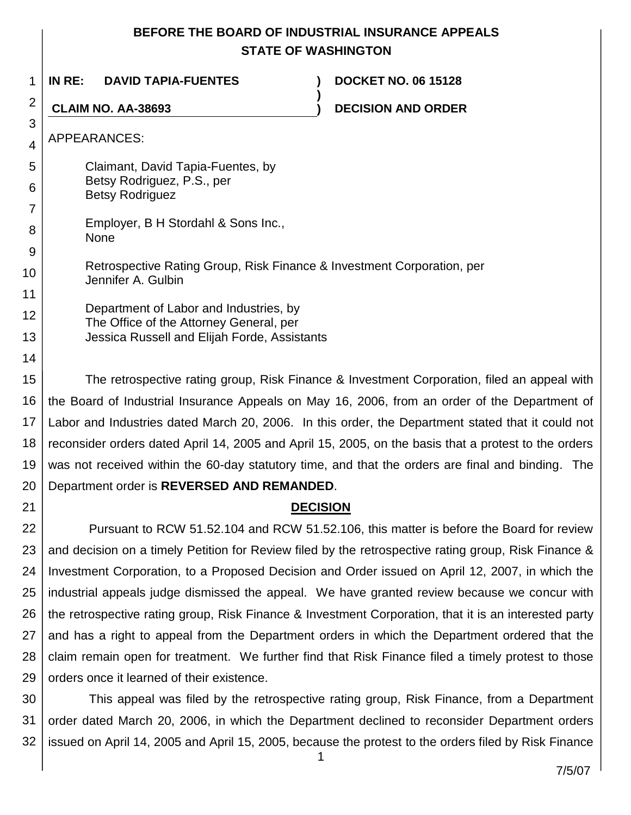## **BEFORE THE BOARD OF INDUSTRIAL INSURANCE APPEALS STATE OF WASHINGTON**

**)**

1 **IN RE: DAVID TAPIA-FUENTES ) DOCKET NO. 06 15128**

**CLAIM NO. AA-38693 ) DECISION AND ORDER**

APPEARANCES:

2

3

4

7

8

9

14

21

5 6 Claimant, David Tapia-Fuentes, by Betsy Rodriguez, P.S., per Betsy Rodriguez

Employer, B H Stordahl & Sons Inc., None

10 Retrospective Rating Group, Risk Finance & Investment Corporation, per Jennifer A. Gulbin

11 12 13 Department of Labor and Industries, by The Office of the Attorney General, per Jessica Russell and Elijah Forde, Assistants

15 16 17 18 19 20 The retrospective rating group, Risk Finance & Investment Corporation, filed an appeal with the Board of Industrial Insurance Appeals on May 16, 2006, from an order of the Department of Labor and Industries dated March 20, 2006. In this order, the Department stated that it could not reconsider orders dated April 14, 2005 and April 15, 2005, on the basis that a protest to the orders was not received within the 60-day statutory time, and that the orders are final and binding. The Department order is **REVERSED AND REMANDED**.

## **DECISION**

22 23 24 25 26 27 28 29 Pursuant to RCW 51.52.104 and RCW 51.52.106, this matter is before the Board for review and decision on a timely Petition for Review filed by the retrospective rating group, Risk Finance & Investment Corporation, to a Proposed Decision and Order issued on April 12, 2007, in which the industrial appeals judge dismissed the appeal. We have granted review because we concur with the retrospective rating group, Risk Finance & Investment Corporation, that it is an interested party and has a right to appeal from the Department orders in which the Department ordered that the claim remain open for treatment. We further find that Risk Finance filed a timely protest to those orders once it learned of their existence.

30 31 32 This appeal was filed by the retrospective rating group, Risk Finance, from a Department order dated March 20, 2006, in which the Department declined to reconsider Department orders issued on April 14, 2005 and April 15, 2005, because the protest to the orders filed by Risk Finance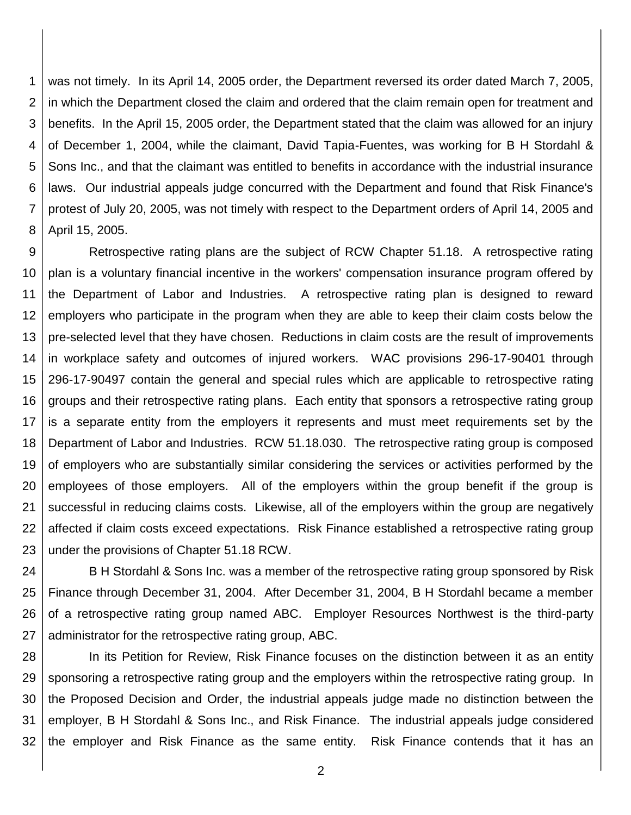1 2 3 4 5 6 7 8 was not timely. In its April 14, 2005 order, the Department reversed its order dated March 7, 2005, in which the Department closed the claim and ordered that the claim remain open for treatment and benefits. In the April 15, 2005 order, the Department stated that the claim was allowed for an injury of December 1, 2004, while the claimant, David Tapia-Fuentes, was working for B H Stordahl & Sons Inc., and that the claimant was entitled to benefits in accordance with the industrial insurance laws. Our industrial appeals judge concurred with the Department and found that Risk Finance's protest of July 20, 2005, was not timely with respect to the Department orders of April 14, 2005 and April 15, 2005.

9 10 11 12 13 14 15 16 17 18 19 20 21 22 23 Retrospective rating plans are the subject of RCW Chapter 51.18. A retrospective rating plan is a voluntary financial incentive in the workers' compensation insurance program offered by the Department of Labor and Industries. A retrospective rating plan is designed to reward employers who participate in the program when they are able to keep their claim costs below the pre-selected level that they have chosen. Reductions in claim costs are the result of improvements in workplace safety and outcomes of injured workers. WAC provisions 296-17-90401 through 296-17-90497 contain the general and special rules which are applicable to retrospective rating groups and their retrospective rating plans. Each entity that sponsors a retrospective rating group is a separate entity from the employers it represents and must meet requirements set by the Department of Labor and Industries. RCW 51.18.030. The retrospective rating group is composed of employers who are substantially similar considering the services or activities performed by the employees of those employers. All of the employers within the group benefit if the group is successful in reducing claims costs. Likewise, all of the employers within the group are negatively affected if claim costs exceed expectations. Risk Finance established a retrospective rating group under the provisions of Chapter 51.18 RCW.

24 25 26 27 B H Stordahl & Sons Inc. was a member of the retrospective rating group sponsored by Risk Finance through December 31, 2004. After December 31, 2004, B H Stordahl became a member of a retrospective rating group named ABC. Employer Resources Northwest is the third-party administrator for the retrospective rating group, ABC.

28 29 30 31 32 In its Petition for Review, Risk Finance focuses on the distinction between it as an entity sponsoring a retrospective rating group and the employers within the retrospective rating group. In the Proposed Decision and Order, the industrial appeals judge made no distinction between the employer, B H Stordahl & Sons Inc., and Risk Finance. The industrial appeals judge considered the employer and Risk Finance as the same entity. Risk Finance contends that it has an

2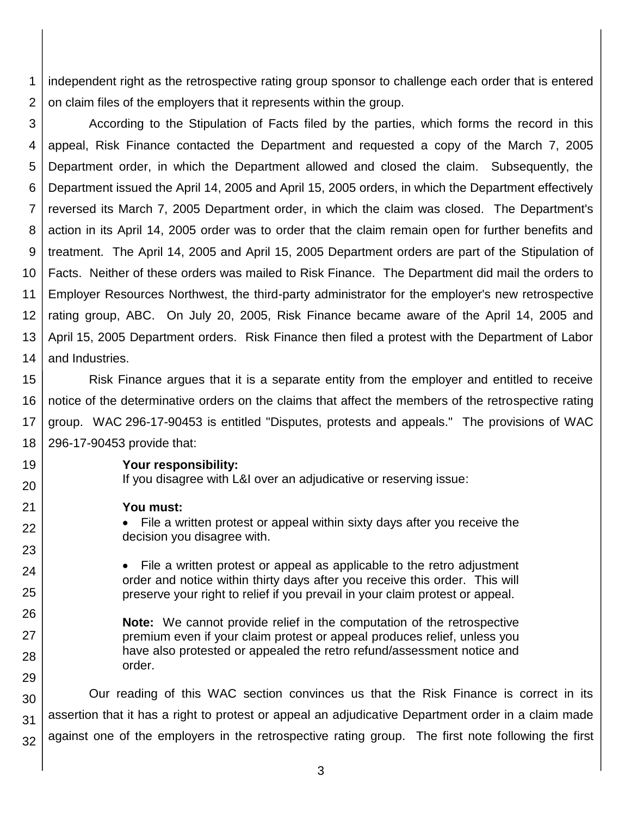1 2 independent right as the retrospective rating group sponsor to challenge each order that is entered on claim files of the employers that it represents within the group.

3 4 5 6 7 8 9 10 11 12 13 14 According to the Stipulation of Facts filed by the parties, which forms the record in this appeal, Risk Finance contacted the Department and requested a copy of the March 7, 2005 Department order, in which the Department allowed and closed the claim. Subsequently, the Department issued the April 14, 2005 and April 15, 2005 orders, in which the Department effectively reversed its March 7, 2005 Department order, in which the claim was closed. The Department's action in its April 14, 2005 order was to order that the claim remain open for further benefits and treatment. The April 14, 2005 and April 15, 2005 Department orders are part of the Stipulation of Facts. Neither of these orders was mailed to Risk Finance. The Department did mail the orders to Employer Resources Northwest, the third-party administrator for the employer's new retrospective rating group, ABC. On July 20, 2005, Risk Finance became aware of the April 14, 2005 and April 15, 2005 Department orders. Risk Finance then filed a protest with the Department of Labor and Industries.

15 16 17 18 Risk Finance argues that it is a separate entity from the employer and entitled to receive notice of the determinative orders on the claims that affect the members of the retrospective rating group. WAC 296-17-90453 is entitled "Disputes, protests and appeals." The provisions of WAC 296-17-90453 provide that:

**Your responsibility:**

If you disagree with L&I over an adjudicative or reserving issue:

#### **You must:**

19

20

21

22

23

24

25

26

27

28

29

 File a written protest or appeal within sixty days after you receive the decision you disagree with.

• File a written protest or appeal as applicable to the retro adjustment order and notice within thirty days after you receive this order. This will preserve your right to relief if you prevail in your claim protest or appeal.

**Note:** We cannot provide relief in the computation of the retrospective premium even if your claim protest or appeal produces relief, unless you have also protested or appealed the retro refund/assessment notice and order.

30 31 32 Our reading of this WAC section convinces us that the Risk Finance is correct in its assertion that it has a right to protest or appeal an adjudicative Department order in a claim made against one of the employers in the retrospective rating group. The first note following the first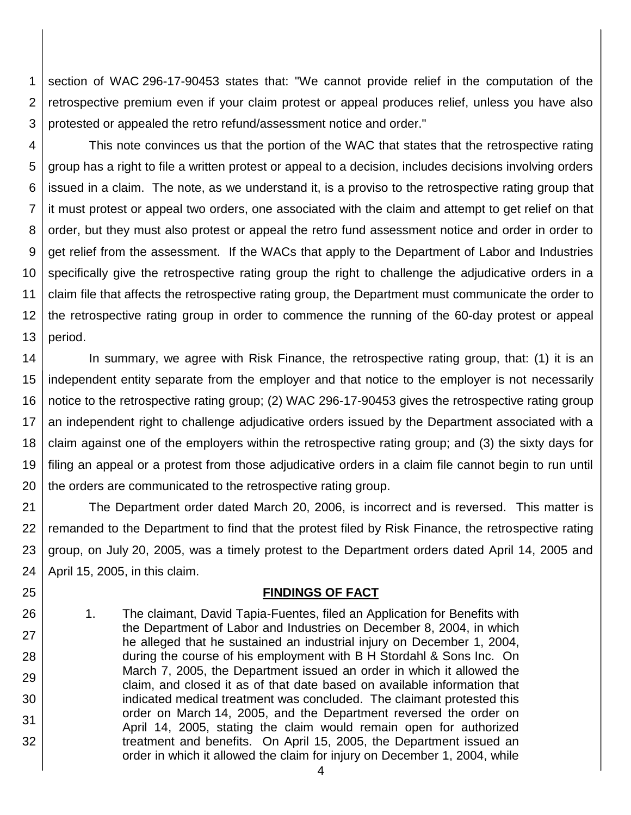1 2 3 section of WAC 296-17-90453 states that: "We cannot provide relief in the computation of the retrospective premium even if your claim protest or appeal produces relief, unless you have also protested or appealed the retro refund/assessment notice and order."

4 5 6 7 8 9 10 11 12 13 This note convinces us that the portion of the WAC that states that the retrospective rating group has a right to file a written protest or appeal to a decision, includes decisions involving orders issued in a claim. The note, as we understand it, is a proviso to the retrospective rating group that it must protest or appeal two orders, one associated with the claim and attempt to get relief on that order, but they must also protest or appeal the retro fund assessment notice and order in order to get relief from the assessment. If the WACs that apply to the Department of Labor and Industries specifically give the retrospective rating group the right to challenge the adjudicative orders in a claim file that affects the retrospective rating group, the Department must communicate the order to the retrospective rating group in order to commence the running of the 60-day protest or appeal period.

14 15 16 17 18 19 20 In summary, we agree with Risk Finance, the retrospective rating group, that: (1) it is an independent entity separate from the employer and that notice to the employer is not necessarily notice to the retrospective rating group; (2) WAC 296-17-90453 gives the retrospective rating group an independent right to challenge adjudicative orders issued by the Department associated with a claim against one of the employers within the retrospective rating group; and (3) the sixty days for filing an appeal or a protest from those adjudicative orders in a claim file cannot begin to run until the orders are communicated to the retrospective rating group.

21 22 23 24 The Department order dated March 20, 2006, is incorrect and is reversed. This matter is remanded to the Department to find that the protest filed by Risk Finance, the retrospective rating group, on July 20, 2005, was a timely protest to the Department orders dated April 14, 2005 and April 15, 2005, in this claim.

## **FINDINGS OF FACT**

1. The claimant, David Tapia-Fuentes, filed an Application for Benefits with the Department of Labor and Industries on December 8, 2004, in which he alleged that he sustained an industrial injury on December 1, 2004, during the course of his employment with B H Stordahl & Sons Inc. On March 7, 2005, the Department issued an order in which it allowed the claim, and closed it as of that date based on available information that indicated medical treatment was concluded. The claimant protested this order on March 14, 2005, and the Department reversed the order on April 14, 2005, stating the claim would remain open for authorized treatment and benefits. On April 15, 2005, the Department issued an order in which it allowed the claim for injury on December 1, 2004, while

25

26

27

28

29

30

31

32

4